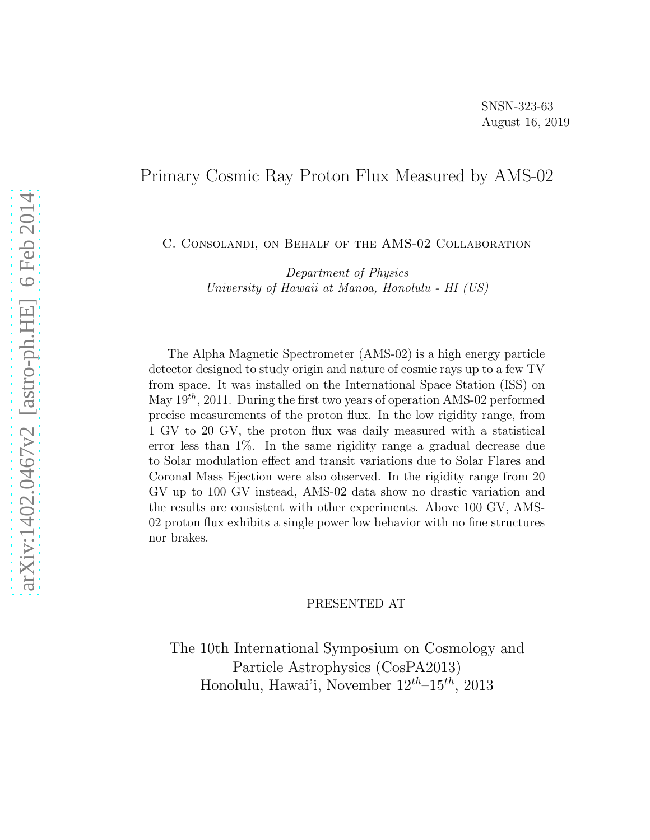### Primary Cosmic Ray Proton Flux Measured by AMS-02

C. Consolandi, on Behalf of the AMS-02 Collaboration

Department of Physics University of Hawaii at Manoa, Honolulu - HI (US)

The Alpha Magnetic Spectrometer (AMS-02) is a high energy particle detector designed to study origin and nature of cosmic rays up to a few TV from space. It was installed on the International Space Station (ISS) on May  $19^{th}$ , 2011. During the first two years of operation AMS-02 performed precise measurements of the proton flux. In the low rigidity range, from 1 GV to 20 GV, the proton flux was daily measured with a statistical error less than 1%. In the same rigidity range a gradual decrease due to Solar modulation effect and transit variations due to Solar Flares and Coronal Mass Ejection were also observed. In the rigidity range from 20 GV up to 100 GV instead, AMS-02 data show no drastic variation and the results are consistent with other experiments. Above 100 GV, AMS-02 proton flux exhibits a single power low behavior with no fine structures nor brakes.

#### PRESENTED AT

The 10th International Symposium on Cosmology and Particle Astrophysics (CosPA2013) Honolulu, Hawai'i, November  $12^{th} - 15^{th}$ , 2013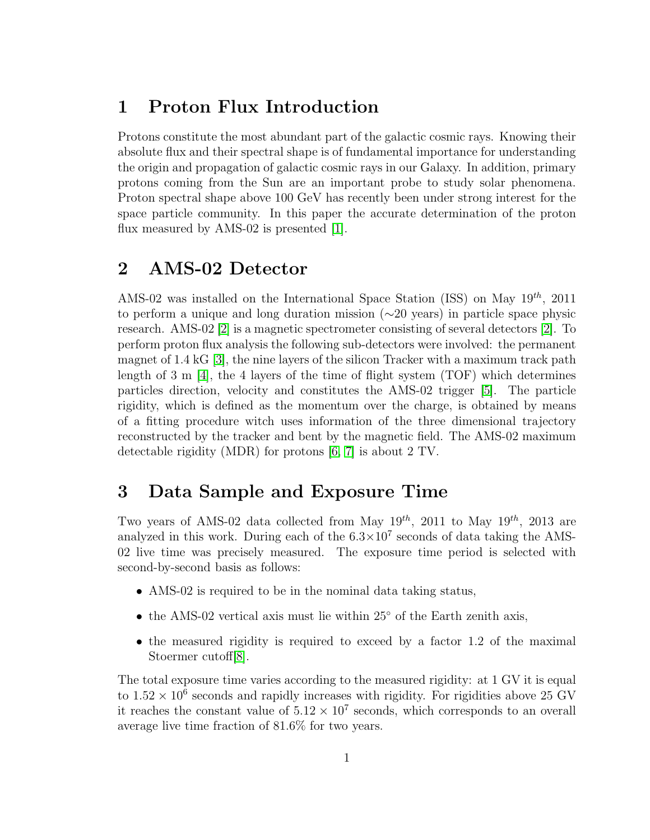# 1 Proton Flux Introduction

Protons constitute the most abundant part of the galactic cosmic rays. Knowing their absolute flux and their spectral shape is of fundamental importance for understanding the origin and propagation of galactic cosmic rays in our Galaxy. In addition, primary protons coming from the Sun are an important probe to study solar phenomena. Proton spectral shape above 100 GeV has recently been under strong interest for the space particle community. In this paper the accurate determination of the proton flux measured by AMS-02 is presented [\[1\]](#page-9-0).

# 2 AMS-02 Detector

AMS-02 was installed on the International Space Station (ISS) on May  $19^{th}$ , 2011 to perform a unique and long duration mission (∼20 years) in particle space physic research. AMS-02 [\[2\]](#page-9-1) is a magnetic spectrometer consisting of several detectors [\[2\]](#page-9-1). To perform proton flux analysis the following sub-detectors were involved: the permanent magnet of 1.4 kG [\[3\]](#page-9-2), the nine layers of the silicon Tracker with a maximum track path length of  $3 \text{ m}$  [\[4\]](#page-9-3), the 4 layers of the time of flight system (TOF) which determines particles direction, velocity and constitutes the AMS-02 trigger [\[5\]](#page-9-4). The particle rigidity, which is defined as the momentum over the charge, is obtained by means of a fitting procedure witch uses information of the three dimensional trajectory reconstructed by the tracker and bent by the magnetic field. The AMS-02 maximum detectable rigidity (MDR) for protons [\[6,](#page-9-5) [7\]](#page-9-6) is about 2 TV.

# 3 Data Sample and Exposure Time

Two years of AMS-02 data collected from May  $19^{th}$ , 2011 to May  $19^{th}$ , 2013 are analyzed in this work. During each of the  $6.3 \times 10^7$  seconds of data taking the AMS-02 live time was precisely measured. The exposure time period is selected with second-by-second basis as follows:

- AMS-02 is required to be in the nominal data taking status,
- the AMS-02 vertical axis must lie within 25° of the Earth zenith axis,
- the measured rigidity is required to exceed by a factor 1.2 of the maximal Stoermer cutoff[\[8\]](#page-9-7).

The total exposure time varies according to the measured rigidity: at 1 GV it is equal to  $1.52 \times 10^6$  seconds and rapidly increases with rigidity. For rigidities above 25 GV it reaches the constant value of  $5.12 \times 10^7$  seconds, which corresponds to an overall average live time fraction of 81.6% for two years.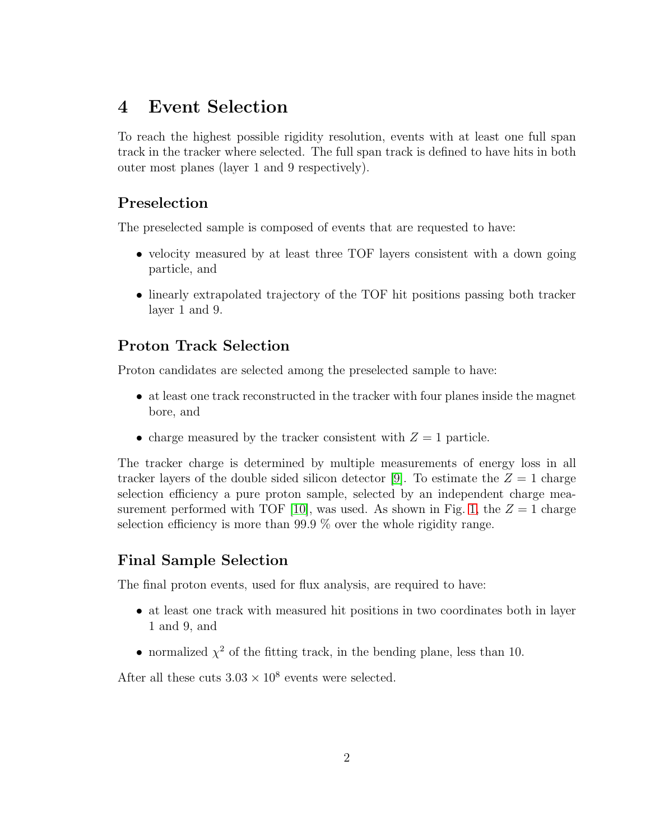# 4 Event Selection

To reach the highest possible rigidity resolution, events with at least one full span track in the tracker where selected. The full span track is defined to have hits in both outer most planes (layer 1 and 9 respectively).

### Preselection

The preselected sample is composed of events that are requested to have:

- velocity measured by at least three TOF layers consistent with a down going particle, and
- linearly extrapolated trajectory of the TOF hit positions passing both tracker layer 1 and 9.

### Proton Track Selection

Proton candidates are selected among the preselected sample to have:

- at least one track reconstructed in the tracker with four planes inside the magnet bore, and
- charge measured by the tracker consistent with  $Z = 1$  particle.

The tracker charge is determined by multiple measurements of energy loss in all tracker layers of the double sided silicon detector [\[9\]](#page-9-8). To estimate the  $Z = 1$  charge selection efficiency a pure proton sample, selected by an independent charge mea-surement performed with TOF [\[10\]](#page-9-9), was used. As shown in Fig. [1,](#page-3-0) the  $Z = 1$  charge selection efficiency is more than 99.9 % over the whole rigidity range.

### Final Sample Selection

The final proton events, used for flux analysis, are required to have:

- at least one track with measured hit positions in two coordinates both in layer 1 and 9, and
- normalized  $\chi^2$  of the fitting track, in the bending plane, less than 10.

After all these cuts  $3.03 \times 10^8$  events were selected.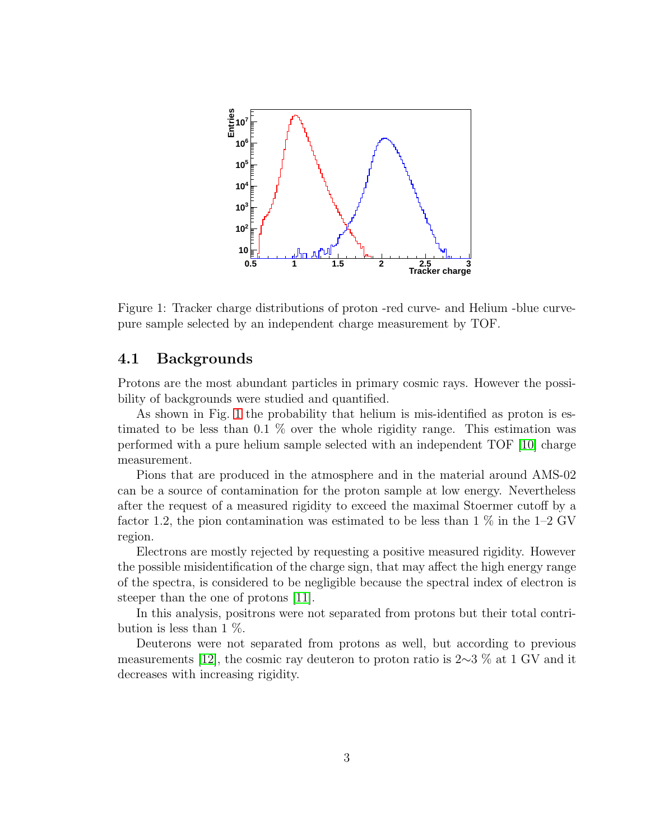

<span id="page-3-0"></span>Figure 1: Tracker charge distributions of proton -red curve- and Helium -blue curvepure sample selected by an independent charge measurement by TOF.

#### 4.1 Backgrounds

Protons are the most abundant particles in primary cosmic rays. However the possibility of backgrounds were studied and quantified.

As shown in Fig. [1](#page-3-0) the probability that helium is mis-identified as proton is estimated to be less than 0.1 % over the whole rigidity range. This estimation was performed with a pure helium sample selected with an independent TOF [\[10\]](#page-9-9) charge measurement.

Pions that are produced in the atmosphere and in the material around AMS-02 can be a source of contamination for the proton sample at low energy. Nevertheless after the request of a measured rigidity to exceed the maximal Stoermer cutoff by a factor 1.2, the pion contamination was estimated to be less than  $1\%$  in the 1–2 GV region.

Electrons are mostly rejected by requesting a positive measured rigidity. However the possible misidentification of the charge sign, that may affect the high energy range of the spectra, is considered to be negligible because the spectral index of electron is steeper than the one of protons [\[11\]](#page-9-10).

In this analysis, positrons were not separated from protons but their total contribution is less than 1  $\%$ .

Deuterons were not separated from protons as well, but according to previous measurements [\[12\]](#page-9-11), the cosmic ray deuteron to proton ratio is 2∼3 % at 1 GV and it decreases with increasing rigidity.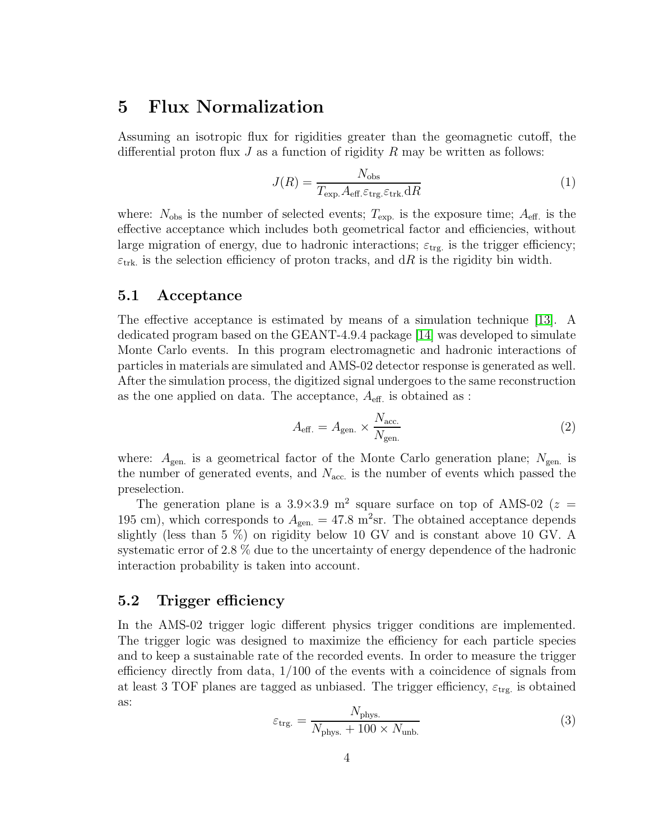### 5 Flux Normalization

Assuming an isotropic flux for rigidities greater than the geomagnetic cutoff, the differential proton flux  $J$  as a function of rigidity  $R$  may be written as follows:

$$
J(R) = \frac{N_{\text{obs}}}{T_{\text{exp.}}A_{\text{eff.}}\varepsilon_{\text{trg.}}\varepsilon_{\text{trk.}}\text{d}R}
$$
(1)

where:  $N_{\text{obs}}$  is the number of selected events;  $T_{\text{exp}}$  is the exposure time;  $A_{\text{eff}}$  is the effective acceptance which includes both geometrical factor and efficiencies, without large migration of energy, due to hadronic interactions;  $\varepsilon_{\text{trg}}$  is the trigger efficiency;  $\varepsilon_{\text{trk}}$  is the selection efficiency of proton tracks, and dR is the rigidity bin width.

#### 5.1 Acceptance

The effective acceptance is estimated by means of a simulation technique [\[13\]](#page-9-12). A dedicated program based on the GEANT-4.9.4 package [\[14\]](#page-9-13) was developed to simulate Monte Carlo events. In this program electromagnetic and hadronic interactions of particles in materials are simulated and AMS-02 detector response is generated as well. After the simulation process, the digitized signal undergoes to the same reconstruction as the one applied on data. The acceptance,  $A_{\text{eff}}$  is obtained as :

$$
A_{\text{eff.}} = A_{\text{gen.}} \times \frac{N_{\text{acc.}}}{N_{\text{gen.}}} \tag{2}
$$

where:  $A_{gen.}$  is a geometrical factor of the Monte Carlo generation plane;  $N_{gen.}$  is the number of generated events, and  $N_{\text{acc}}$  is the number of events which passed the preselection.

The generation plane is a 3.9×3.9 m<sup>2</sup> square surface on top of AMS-02 ( $z =$ 195 cm), which corresponds to  $A_{gen.} = 47.8 \text{ m}^2 \text{sr}$ . The obtained acceptance depends slightly (less than 5 %) on rigidity below 10 GV and is constant above 10 GV. A systematic error of 2.8 % due to the uncertainty of energy dependence of the hadronic interaction probability is taken into account.

#### 5.2 Trigger efficiency

In the AMS-02 trigger logic different physics trigger conditions are implemented. The trigger logic was designed to maximize the efficiency for each particle species and to keep a sustainable rate of the recorded events. In order to measure the trigger efficiency directly from data, 1/100 of the events with a coincidence of signals from at least 3 TOF planes are tagged as unbiased. The trigger efficiency,  $\varepsilon_{\text{trg}}$  is obtained as:

$$
\varepsilon_{\text{trg.}} = \frac{N_{\text{phys.}}}{N_{\text{phys.}} + 100 \times N_{\text{unb.}}}
$$
(3)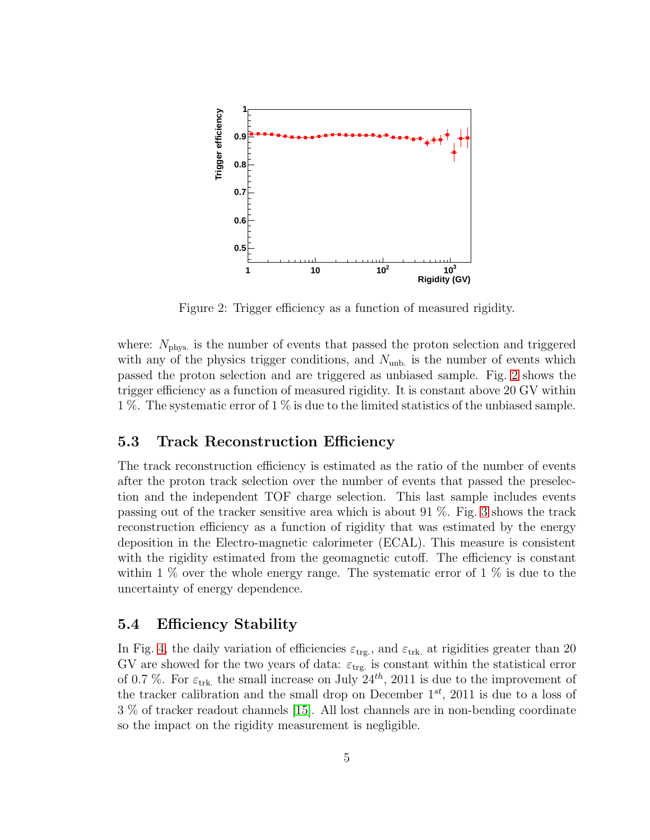

<span id="page-5-0"></span>Figure 2: Trigger efficiency as a function of measured rigidity.

where:  $N_{\text{phys}}$  is the number of events that passed the proton selection and triggered with any of the physics trigger conditions, and  $N_{\text{unb}}$  is the number of events which passed the proton selection and are triggered as unbiased sample. Fig. [2](#page-5-0) shows the trigger efficiency as a function of measured rigidity. It is constant above 20 GV within 1 %. The systematic error of 1 % is due to the limited statistics of the unbiased sample.

#### 5.3 Track Reconstruction Efficiency

The track reconstruction efficiency is estimated as the ratio of the number of events after the proton track selection over the number of events that passed the preselection and the independent TOF charge selection. This last sample includes events passing out of the tracker sensitive area which is about 91 %. Fig. [3](#page-6-0) shows the track reconstruction efficiency as a function of rigidity that was estimated by the energy deposition in the Electro-magnetic calorimeter (ECAL). This measure is consistent with the rigidity estimated from the geomagnetic cutoff. The efficiency is constant within 1  $\%$  over the whole energy range. The systematic error of 1  $\%$  is due to the uncertainty of energy dependence.

#### 5.4 Efficiency Stability

In Fig. [4,](#page-7-0) the daily variation of efficiencies  $\varepsilon_{\text{trg.}}$ , and  $\varepsilon_{\text{trk}}$  at rigidities greater than 20 GV are showed for the two years of data:  $\varepsilon_{\text{trg}}$  is constant within the statistical error of 0.7 %. For  $\varepsilon_{\text{trk}}$ , the small increase on July  $24^{th}$ , 2011 is due to the improvement of the tracker calibration and the small drop on December  $1^{st}$ , 2011 is due to a loss of 3 % of tracker readout channels [\[15\]](#page-9-14). All lost channels are in non-bending coordinate so the impact on the rigidity measurement is negligible.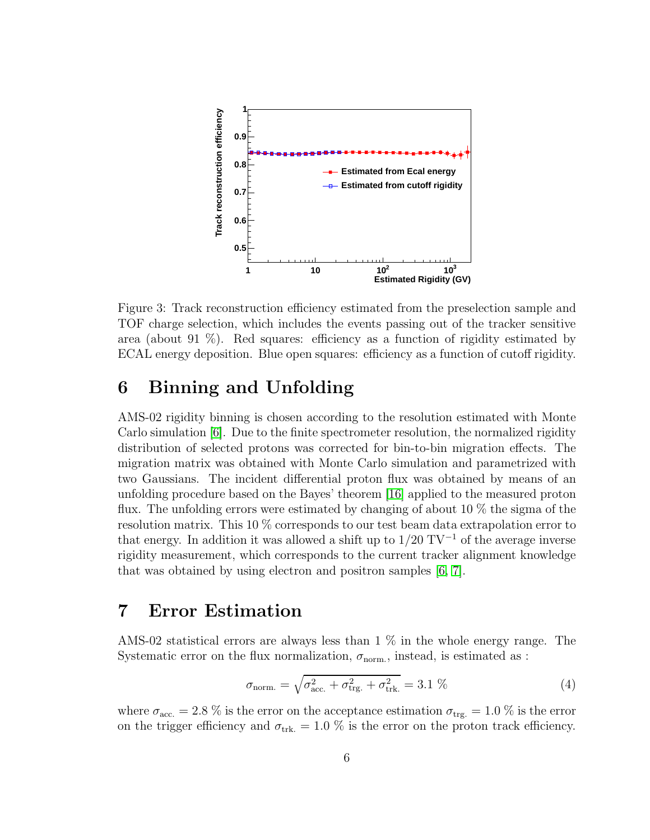

<span id="page-6-0"></span>Figure 3: Track reconstruction efficiency estimated from the preselection sample and TOF charge selection, which includes the events passing out of the tracker sensitive area (about 91  $\%$ ). Red squares: efficiency as a function of rigidity estimated by ECAL energy deposition. Blue open squares: efficiency as a function of cutoff rigidity.

# <span id="page-6-1"></span>6 Binning and Unfolding

AMS-02 rigidity binning is chosen according to the resolution estimated with Monte Carlo simulation [\[6\]](#page-9-5). Due to the finite spectrometer resolution, the normalized rigidity distribution of selected protons was corrected for bin-to-bin migration effects. The migration matrix was obtained with Monte Carlo simulation and parametrized with two Gaussians. The incident differential proton flux was obtained by means of an unfolding procedure based on the Bayes' theorem [\[16\]](#page-9-15) applied to the measured proton flux. The unfolding errors were estimated by changing of about 10 % the sigma of the resolution matrix. This 10 % corresponds to our test beam data extrapolation error to that energy. In addition it was allowed a shift up to  $1/20$  TV<sup>-1</sup> of the average inverse rigidity measurement, which corresponds to the current tracker alignment knowledge that was obtained by using electron and positron samples [\[6,](#page-9-5) [7\]](#page-9-6).

### 7 Error Estimation

AMS-02 statistical errors are always less than 1 % in the whole energy range. The Systematic error on the flux normalization,  $\sigma_{\text{norm}}$ , instead, is estimated as :

$$
\sigma_{\text{norm.}} = \sqrt{\sigma_{\text{acc.}}^2 + \sigma_{\text{trg.}}^2 + \sigma_{\text{trk.}}^2} = 3.1 \,\% \tag{4}
$$

where  $\sigma_{\text{acc}} = 2.8\%$  is the error on the acceptance estimation  $\sigma_{\text{trg}} = 1.0\%$  is the error on the trigger efficiency and  $\sigma_{\text{trk}} = 1.0 \%$  is the error on the proton track efficiency.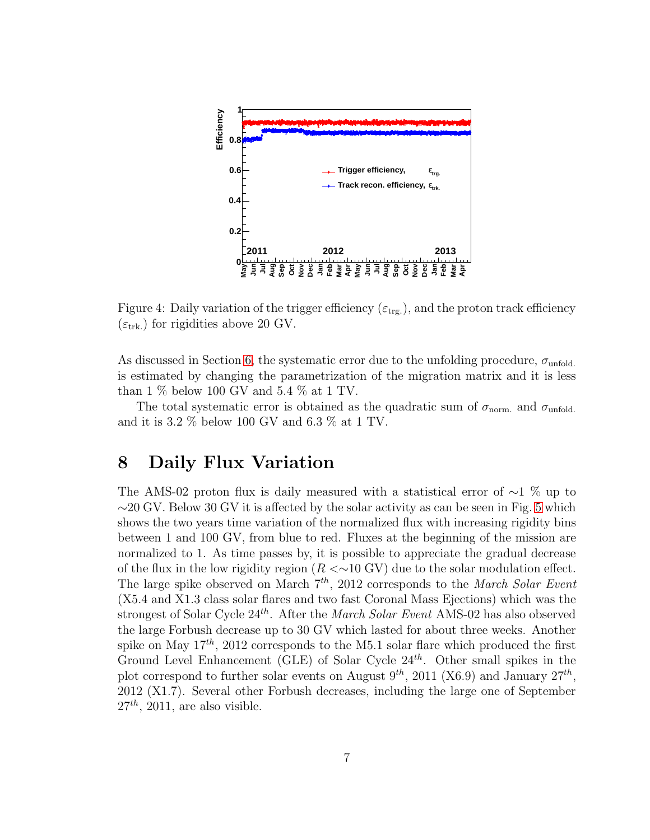

<span id="page-7-0"></span>Figure 4: Daily variation of the trigger efficiency  $(\varepsilon_{trg.})$ , and the proton track efficiency  $(\varepsilon_{\text{trk.}})$  for rigidities above 20 GV.

As discussed in Section [6,](#page-6-1) the systematic error due to the unfolding procedure,  $\sigma_{\text{unfold}}$ . is estimated by changing the parametrization of the migration matrix and it is less than 1  $\%$  below 100 GV and 5.4  $\%$  at 1 TV.

The total systematic error is obtained as the quadratic sum of  $\sigma_{\text{norm}}$  and  $\sigma_{\text{unfold}}$ . and it is 3.2 % below 100 GV and 6.3 % at 1 TV.

### 8 Daily Flux Variation

The AMS-02 proton flux is daily measured with a statistical error of ∼1 % up to  $\sim$ 20 GV. Below 30 GV it is affected by the solar activity as can be seen in Fig. [5](#page-8-0) which shows the two years time variation of the normalized flux with increasing rigidity bins between 1 and 100 GV, from blue to red. Fluxes at the beginning of the mission are normalized to 1. As time passes by, it is possible to appreciate the gradual decrease of the flux in the low rigidity region  $(R < 10$  GV) due to the solar modulation effect. The large spike observed on March  $7<sup>th</sup>$ , 2012 corresponds to the March Solar Event (X5.4 and X1.3 class solar flares and two fast Coronal Mass Ejections) which was the strongest of Solar Cycle  $24^{th}$ . After the *March Solar Event* AMS-02 has also observed the large Forbush decrease up to 30 GV which lasted for about three weeks. Another spike on May  $17^{th}$ , 2012 corresponds to the M5.1 solar flare which produced the first Ground Level Enhancement (GLE) of Solar Cycle  $24^{th}$ . Other small spikes in the plot correspond to further solar events on August  $9^{th}$ , 2011 (X6.9) and January  $27^{th}$ , 2012 (X1.7). Several other Forbush decreases, including the large one of September  $27<sup>th</sup>$ , 2011, are also visible.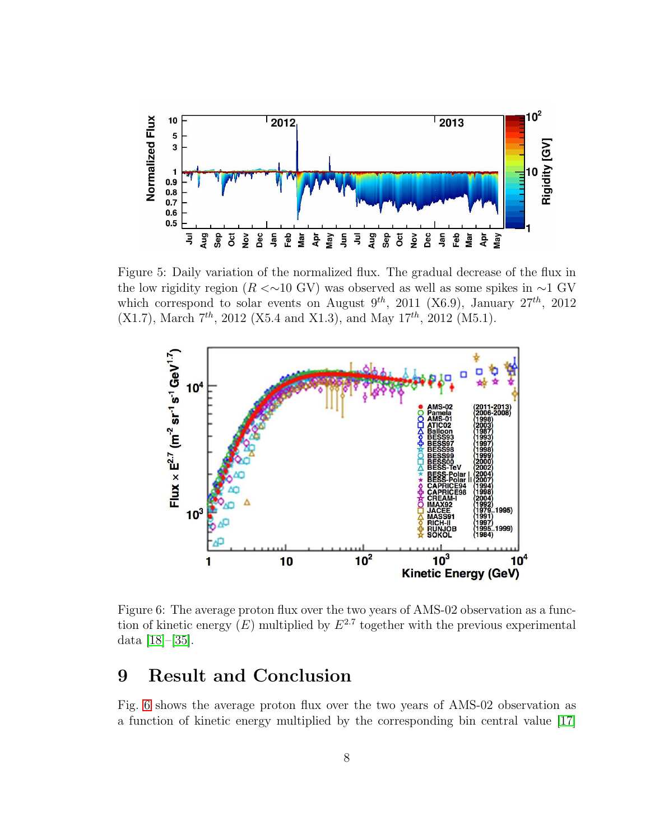

<span id="page-8-0"></span>Figure 5: Daily variation of the normalized flux. The gradual decrease of the flux in the low rigidity region ( $R \ll 10$  GV) was observed as well as some spikes in  $\sim 1$  GV which correspond to solar events on August  $9^{th}$ , 2011 (X6.9), January  $27^{th}$ , 2012  $(X1.7)$ , March  $7<sup>th</sup>$ , 2012 (X5.4 and X1.3), and May 17<sup>th</sup>, 2012 (M5.1).



<span id="page-8-1"></span>Figure 6: The average proton flux over the two years of AMS-02 observation as a function of kinetic energy  $(E)$  multiplied by  $E^{2.7}$  together with the previous experimental data [\[18\]](#page-9-16)–[\[35\]](#page-10-0).

# 9 Result and Conclusion

Fig. [6](#page-8-1) shows the average proton flux over the two years of AMS-02 observation as a function of kinetic energy multiplied by the corresponding bin central value [\[17\]](#page-9-17)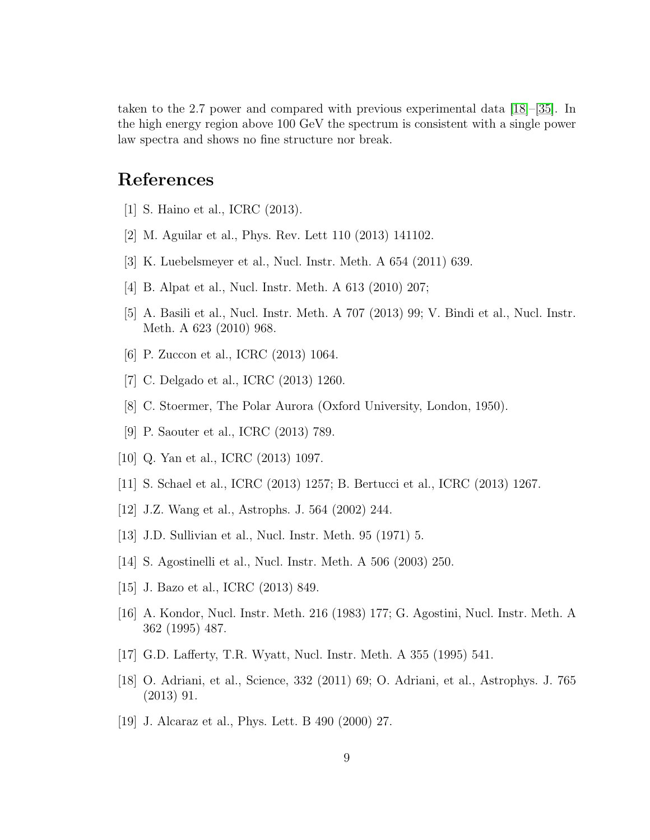taken to the 2.7 power and compared with previous experimental data [\[18\]](#page-9-16)–[\[35\]](#page-10-0). In the high energy region above 100 GeV the spectrum is consistent with a single power law spectra and shows no fine structure nor break.

# <span id="page-9-0"></span>References

- <span id="page-9-1"></span>[1] S. Haino et al., ICRC (2013).
- <span id="page-9-2"></span>[2] M. Aguilar et al., Phys. Rev. Lett 110 (2013) 141102.
- <span id="page-9-3"></span>[3] K. Luebelsmeyer et al., Nucl. Instr. Meth. A 654 (2011) 639.
- <span id="page-9-4"></span>[4] B. Alpat et al., Nucl. Instr. Meth. A 613 (2010) 207;
- <span id="page-9-5"></span>[5] A. Basili et al., Nucl. Instr. Meth. A 707 (2013) 99; V. Bindi et al., Nucl. Instr. Meth. A 623 (2010) 968.
- <span id="page-9-6"></span>[6] P. Zuccon et al., ICRC (2013) 1064.
- <span id="page-9-7"></span>[7] C. Delgado et al., ICRC (2013) 1260.
- <span id="page-9-8"></span>[8] C. Stoermer, The Polar Aurora (Oxford University, London, 1950).
- <span id="page-9-9"></span>[9] P. Saouter et al., ICRC (2013) 789.
- <span id="page-9-10"></span>[10] Q. Yan et al., ICRC (2013) 1097.
- <span id="page-9-11"></span>[11] S. Schael et al., ICRC (2013) 1257; B. Bertucci et al., ICRC (2013) 1267.
- <span id="page-9-12"></span>[12] J.Z. Wang et al., Astrophs. J. 564 (2002) 244.
- <span id="page-9-13"></span>[13] J.D. Sullivian et al., Nucl. Instr. Meth. 95 (1971) 5.
- <span id="page-9-14"></span>[14] S. Agostinelli et al., Nucl. Instr. Meth. A 506 (2003) 250.
- <span id="page-9-15"></span>[15] J. Bazo et al., ICRC (2013) 849.
- [16] A. Kondor, Nucl. Instr. Meth. 216 (1983) 177; G. Agostini, Nucl. Instr. Meth. A 362 (1995) 487.
- <span id="page-9-17"></span><span id="page-9-16"></span>[17] G.D. Lafferty, T.R. Wyatt, Nucl. Instr. Meth. A 355 (1995) 541.
- [18] O. Adriani, et al., Science, 332 (2011) 69; O. Adriani, et al., Astrophys. J. 765 (2013) 91.
- [19] J. Alcaraz et al., Phys. Lett. B 490 (2000) 27.